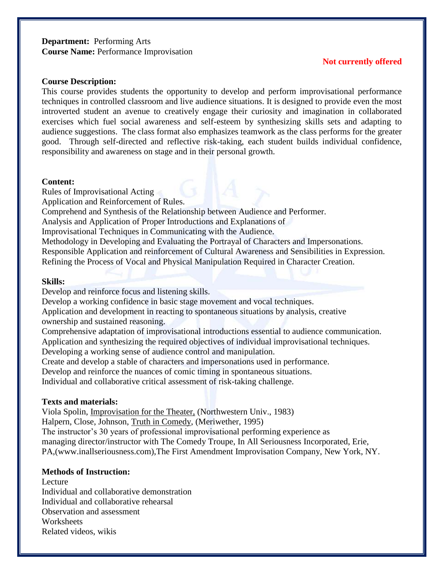### **Department:** Performing Arts **Course Name:** Performance Improvisation

## **Not currently offered**

### **Course Description:**

This course provides students the opportunity to develop and perform improvisational performance techniques in controlled classroom and live audience situations. It is designed to provide even the most introverted student an avenue to creatively engage their curiosity and imagination in collaborated exercises which fuel social awareness and self-esteem by synthesizing skills sets and adapting to audience suggestions. The class format also emphasizes teamwork as the class performs for the greater good. Through self-directed and reflective risk-taking, each student builds individual confidence, responsibility and awareness on stage and in their personal growth.

#### **Content:**

Rules of Improvisational Acting

Application and Reinforcement of Rules.

Comprehend and Synthesis of the Relationship between Audience and Performer.

Analysis and Application of Proper Introductions and Explanations of

Improvisational Techniques in Communicating with the Audience.

Methodology in Developing and Evaluating the Portrayal of Characters and Impersonations.

Responsible Application and reinforcement of Cultural Awareness and Sensibilities in Expression.

Refining the Process of Vocal and Physical Manipulation Required in Character Creation.

### **Skills:**

Develop and reinforce focus and listening skills.

Develop a working confidence in basic stage movement and vocal techniques.

Application and development in reacting to spontaneous situations by analysis, creative ownership and sustained reasoning.

Comprehensive adaptation of improvisational introductions essential to audience communication. Application and synthesizing the required objectives of individual improvisational techniques.

Developing a working sense of audience control and manipulation.

Create and develop a stable of characters and impersonations used in performance.

Develop and reinforce the nuances of comic timing in spontaneous situations.

Individual and collaborative critical assessment of risk-taking challenge.

### **Texts and materials:**

Viola Spolin, Improvisation for the Theater, (Northwestern Univ., 1983) Halpern, Close, Johnson, Truth in Comedy, (Meriwether, 1995) The instructor's 30 years of professional improvisational performing experience as managing director/instructor with The Comedy Troupe, In All Seriousness Incorporated, Erie, PA,(www.inallseriousness.com),The First Amendment Improvisation Company, New York, NY.

# **Methods of Instruction:**

Lecture Individual and collaborative demonstration Individual and collaborative rehearsal Observation and assessment **Worksheets** Related videos, wikis